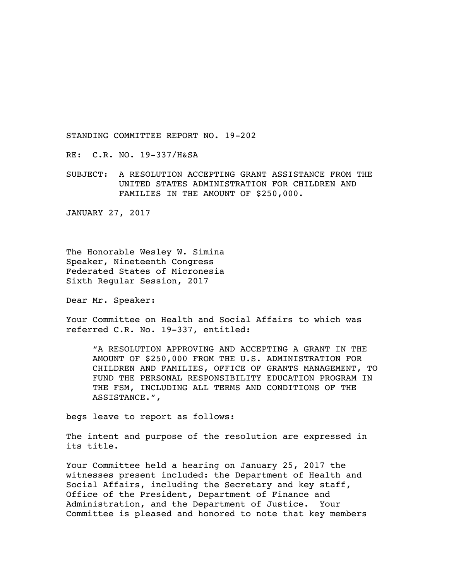STANDING COMMITTEE REPORT NO. 19-202

RE: C.R. NO. 19-337/H&SA

SUBJECT: A RESOLUTION ACCEPTING GRANT ASSISTANCE FROM THE UNITED STATES ADMINISTRATION FOR CHILDREN AND FAMILIES IN THE AMOUNT OF \$250,000.

JANUARY 27, 2017

The Honorable Wesley W. Simina Speaker, Nineteenth Congress Federated States of Micronesia Sixth Regular Session, 2017

Dear Mr. Speaker:

Your Committee on Health and Social Affairs to which was referred C.R. No. 19-337, entitled:

"A RESOLUTION APPROVING AND ACCEPTING A GRANT IN THE AMOUNT OF \$250,000 FROM THE U.S. ADMINISTRATION FOR CHILDREN AND FAMILIES, OFFICE OF GRANTS MANAGEMENT, TO FUND THE PERSONAL RESPONSIBILITY EDUCATION PROGRAM IN THE FSM, INCLUDING ALL TERMS AND CONDITIONS OF THE ASSISTANCE.",

begs leave to report as follows:

The intent and purpose of the resolution are expressed in its title.

Your Committee held a hearing on January 25, 2017 the witnesses present included: the Department of Health and Social Affairs, including the Secretary and key staff, Office of the President, Department of Finance and Administration, and the Department of Justice. Your Committee is pleased and honored to note that key members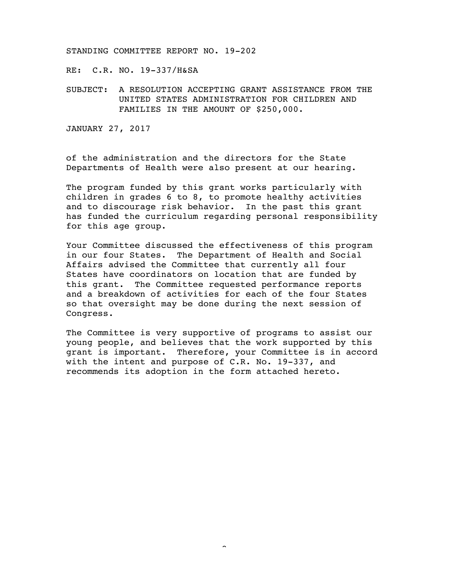STANDING COMMITTEE REPORT NO. 19-202

RE: C.R. NO. 19-337/H&SA

SUBJECT: A RESOLUTION ACCEPTING GRANT ASSISTANCE FROM THE UNITED STATES ADMINISTRATION FOR CHILDREN AND FAMILIES IN THE AMOUNT OF \$250,000.

JANUARY 27, 2017

of the administration and the directors for the State Departments of Health were also present at our hearing.

The program funded by this grant works particularly with children in grades 6 to 8, to promote healthy activities and to discourage risk behavior. In the past this grant has funded the curriculum regarding personal responsibility for this age group.

Your Committee discussed the effectiveness of this program in our four States. The Department of Health and Social Affairs advised the Committee that currently all four States have coordinators on location that are funded by this grant. The Committee requested performance reports and a breakdown of activities for each of the four States so that oversight may be done during the next session of Congress.

The Committee is very supportive of programs to assist our young people, and believes that the work supported by this grant is important. Therefore, your Committee is in accord with the intent and purpose of C.R. No. 19-337, and recommends its adoption in the form attached hereto.